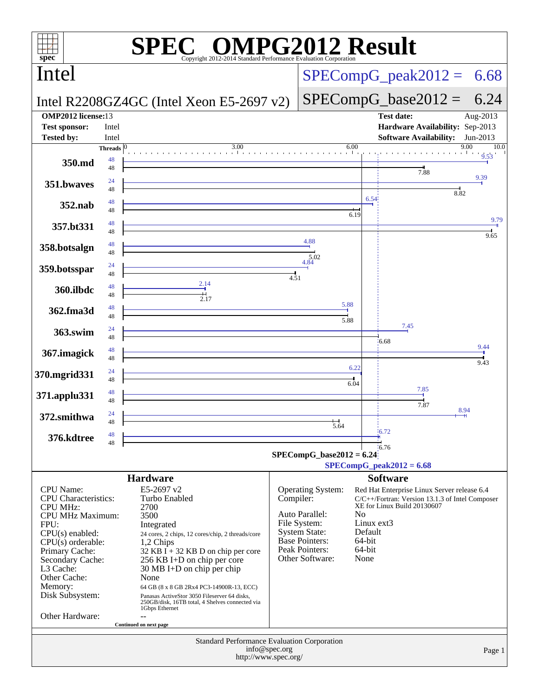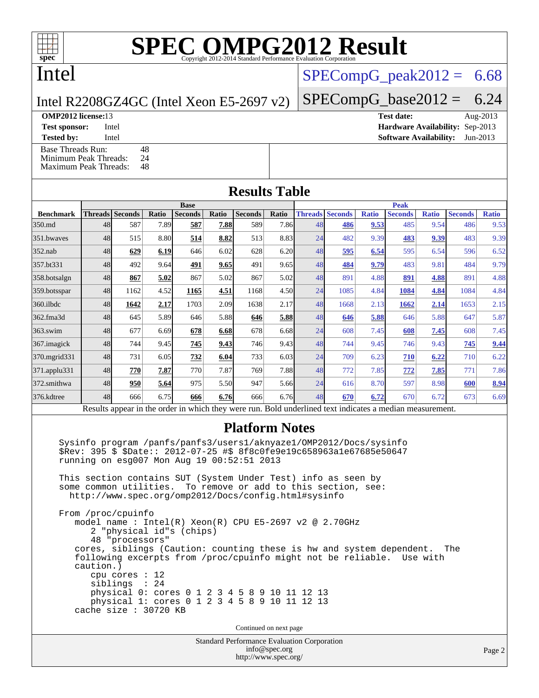# **[SPEC OMPG2012 Result](http://www.spec.org/auto/omp2012/Docs/result-fields.html#SPECOMPG2012Result)**

## Intel

### Intel R2208GZ4GC (Intel Xeon E5-2697 v2)

### $SPECompG<sub>peak2012</sub> = 6.68$

### $SPECompG_base2012 = 6.24$  $SPECompG_base2012 = 6.24$

**[OMP2012 license:](http://www.spec.org/auto/omp2012/Docs/result-fields.html#OMP2012license)**13 **[Test date:](http://www.spec.org/auto/omp2012/Docs/result-fields.html#Testdate)** Aug-2013 **[Test sponsor:](http://www.spec.org/auto/omp2012/Docs/result-fields.html#Testsponsor)** Intel **[Hardware Availability:](http://www.spec.org/auto/omp2012/Docs/result-fields.html#HardwareAvailability)** Sep-2013

**[Tested by:](http://www.spec.org/auto/omp2012/Docs/result-fields.html#Testedby)** Intel **[Software Availability:](http://www.spec.org/auto/omp2012/Docs/result-fields.html#SoftwareAvailability)** Jun-2013

[Base Threads Run:](http://www.spec.org/auto/omp2012/Docs/result-fields.html#BaseThreadsRun) 48<br>Minimum Peak Threads: 24 [Minimum Peak Threads:](http://www.spec.org/auto/omp2012/Docs/result-fields.html#MinimumPeakThreads) [Maximum Peak Threads:](http://www.spec.org/auto/omp2012/Docs/result-fields.html#MaximumPeakThreads) 48

| <b>Results Table</b> |  |  |  |
|----------------------|--|--|--|
|                      |  |  |  |

|                                                                                                                                                                                                            | <b>Base</b> |                        |       |                |       |                |              | <b>Peak</b> |                        |              |                |              |                |              |
|------------------------------------------------------------------------------------------------------------------------------------------------------------------------------------------------------------|-------------|------------------------|-------|----------------|-------|----------------|--------------|-------------|------------------------|--------------|----------------|--------------|----------------|--------------|
| <b>Benchmark</b>                                                                                                                                                                                           |             | <b>Threads</b> Seconds | Ratio | <b>Seconds</b> | Ratio | <b>Seconds</b> | <b>Ratio</b> |             | <b>Threads Seconds</b> | <b>Ratio</b> | <b>Seconds</b> | <b>Ratio</b> | <b>Seconds</b> | <b>Ratio</b> |
| 350.md                                                                                                                                                                                                     | 48          | 587                    | 7.89  | 587            | 7.88  | 589            | 7.86         | 48          | 486                    | 9.53         | 485            | 9.54         | 486            | 9.53         |
| 351.bwaves                                                                                                                                                                                                 | 48          | 515                    | 8.80  | 514            | 8.82  | 513            | 8.83         | 24          | 482                    | 9.39         | 483            | 9.39         | 483            | 9.39         |
| $352$ .nab                                                                                                                                                                                                 | 48          | 629                    | 6.19  | 646            | 6.02  | 628            | 6.20         | 48          | 595                    | 6.54         | 595            | 6.54         | 596            | 6.52         |
| 357.bt331                                                                                                                                                                                                  | 48          | 492                    | 9.64  | 491            | 9.65  | 491            | 9.65         | 48          | 484                    | 9.79         | 483            | 9.81         | 484            | 9.79         |
| 358.botsalgn                                                                                                                                                                                               | 48          | 867                    | 5.02  | 867            | 5.02  | 867            | 5.02         | 48          | 891                    | 4.88         | 891            | 4.88         | 891            | 4.88         |
| 359.botsspar                                                                                                                                                                                               | 48          | 1162                   | 4.52  | 1165           | 4.51  | 1168           | 4.50         | 24          | 1085                   | 4.84         | 1084           | 4.84         | 1084           | 4.84         |
| $360$ .ilbdc                                                                                                                                                                                               | 48          | 1642                   | 2.17  | 1703           | 2.09  | 1638           | 2.17         | 48          | 1668                   | 2.13         | 1662           | <u>2.14</u>  | 1653           | 2.15         |
| 362.fma3d                                                                                                                                                                                                  | 48          | 645                    | 5.89  | 646            | 5.88  | 646            | 5.88         | 48          | 646                    | 5.88         | 646            | 5.88         | 647            | 5.87         |
| $363$ .swim                                                                                                                                                                                                | 48          | 677                    | 6.69  | 678            | 6.68  | 678            | 6.68         | 24          | 608                    | 7.45         | 608            | 7.45         | 608            | 7.45         |
| $367$ . imagick                                                                                                                                                                                            | 48          | 744                    | 9.45  | 745            | 9.43  | 746            | 9.43         | 48          | 744                    | 9.45         | 746            | 9.43         | 745            | 9.44         |
| 370.mgrid331                                                                                                                                                                                               | 48          | 731                    | 6.05  | 732            | 6.04  | 733            | 6.03         | 24          | 709                    | 6.23         | 710            | 6.22         | 710            | 6.22         |
| 371.applu331                                                                                                                                                                                               | 48          | 770                    | 7.87  | 770            | 7.87  | 769            | 7.88         | 48          | 772                    | 7.85         | 772            | 7.85         | 771            | 7.86         |
| 372.smithwa                                                                                                                                                                                                | 48          | 950                    | 5.64  | 975            | 5.50  | 947            | 5.66         | 24          | 616                    | 8.70         | 597            | 8.98         | 600            | 8.94         |
| 376.kdtree                                                                                                                                                                                                 | 48          | 666                    | 6.75  | 666            | 6.76  | 666            | 6.76         | 48          | 670                    | 6.72         | 670            | 6.72         | 673            | 6.69         |
| $D = 140$<br>$1.2 - 41.2$<br>المدائر المسامر<br>$1.3 - 1.41$<br>$D = 1.1$ and $A = 1.1$ and $A = 1.1$<br>المستقصد فالأستدف<br>متحافظ ومحافظ والمحافظ والمحافظ والمحافظ والمحاف المالي المحافظ<br>--------- |             |                        |       |                |       |                |              |             |                        |              |                |              |                |              |

Results appear in the [order in which they were run.](http://www.spec.org/auto/omp2012/Docs/result-fields.html#RunOrder) Bold underlined text [indicates a median measurement.](http://www.spec.org/auto/omp2012/Docs/result-fields.html#Median)

### **[Platform Notes](http://www.spec.org/auto/omp2012/Docs/result-fields.html#PlatformNotes)**

 Sysinfo program /panfs/panfs3/users1/aknyaze1/OMP2012/Docs/sysinfo \$Rev: 395 \$ \$Date:: 2012-07-25 #\$ 8f8c0fe9e19c658963a1e67685e50647 running on esg007 Mon Aug 19 00:52:51 2013

 This section contains SUT (System Under Test) info as seen by some common utilities. To remove or add to this section, see: <http://www.spec.org/omp2012/Docs/config.html#sysinfo>

 From /proc/cpuinfo model name : Intel(R) Xeon(R) CPU E5-2697 v2 @ 2.70GHz 2 "physical id"s (chips) 48 "processors" cores, siblings (Caution: counting these is hw and system dependent. The following excerpts from /proc/cpuinfo might not be reliable. Use with caution.) cpu cores : 12 siblings : 24 physical 0: cores 0 1 2 3 4 5 8 9 10 11 12 13 physical 1: cores 0 1 2 3 4 5 8 9 10 11 12 13 cache size : 30720 KB

Continued on next page

Standard Performance Evaluation Corporation [info@spec.org](mailto:info@spec.org) <http://www.spec.org/>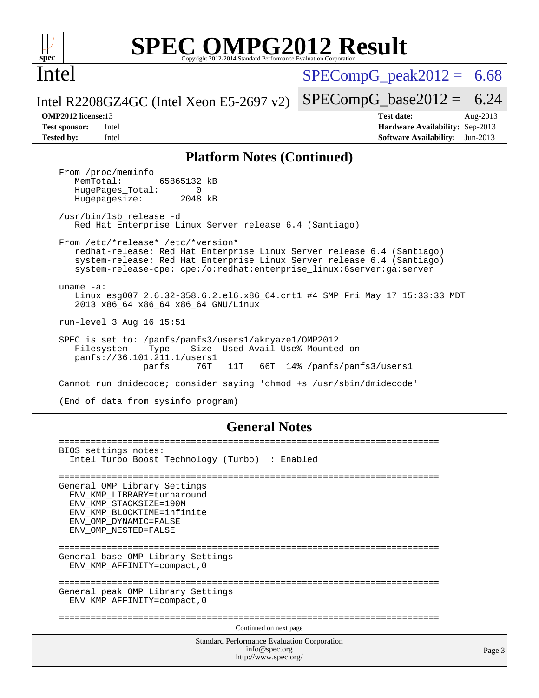

Intel

# **[SPEC OMPG2012 Result](http://www.spec.org/auto/omp2012/Docs/result-fields.html#SPECOMPG2012Result)**

 $SPECompG<sub>peak2012</sub> = 6.68$ 

Intel R2208GZ4GC (Intel Xeon E5-2697 v2)  $SPECompG_base2012 = 6.24$  $SPECompG_base2012 = 6.24$ 

**[OMP2012 license:](http://www.spec.org/auto/omp2012/Docs/result-fields.html#OMP2012license)**13 **[Test date:](http://www.spec.org/auto/omp2012/Docs/result-fields.html#Testdate)** Aug-2013 **[Test sponsor:](http://www.spec.org/auto/omp2012/Docs/result-fields.html#Testsponsor)** Intel **[Hardware Availability:](http://www.spec.org/auto/omp2012/Docs/result-fields.html#HardwareAvailability)** Sep-2013 **[Tested by:](http://www.spec.org/auto/omp2012/Docs/result-fields.html#Testedby)** Intel **[Software Availability:](http://www.spec.org/auto/omp2012/Docs/result-fields.html#SoftwareAvailability)** Jun-2013

#### **[Platform Notes \(Continued\)](http://www.spec.org/auto/omp2012/Docs/result-fields.html#PlatformNotes)**

From /proc/meminfo<br>MemTotal: 65865132 kB HugePages\_Total: 0<br>Hugepagesize: 2048 kB Hugepagesize: /usr/bin/lsb\_release -d Red Hat Enterprise Linux Server release 6.4 (Santiago) From /etc/\*release\* /etc/\*version\* redhat-release: Red Hat Enterprise Linux Server release 6.4 (Santiago) system-release: Red Hat Enterprise Linux Server release 6.4 (Santiago) system-release-cpe: cpe:/o:redhat:enterprise\_linux:6server:ga:server uname -a: Linux esg007 2.6.32-358.6.2.el6.x86\_64.crt1 #4 SMP Fri May 17 15:33:33 MDT 2013 x86\_64 x86\_64 x86\_64 GNU/Linux run-level 3 Aug 16 15:51 SPEC is set to: /panfs/panfs3/users1/aknyaze1/OMP2012 Filesystem Type Size Used Avail Use% Mounted on panfs://36.101.211.1/users1 11T 66T 14% /panfs/panfs3/users1 Cannot run dmidecode; consider saying 'chmod +s /usr/sbin/dmidecode' (End of data from sysinfo program)

#### **[General Notes](http://www.spec.org/auto/omp2012/Docs/result-fields.html#GeneralNotes)**

Standard Performance Evaluation Corporation [info@spec.org](mailto:info@spec.org) <http://www.spec.org/> Page 3 ======================================================================== BIOS settings notes: Intel Turbo Boost Technology (Turbo) : Enabled ======================================================================== General OMP Library Settings ENV\_KMP\_LIBRARY=turnaround ENV\_KMP\_STACKSIZE=190M ENV\_KMP\_BLOCKTIME=infinite ENV\_OMP\_DYNAMIC=FALSE ENV\_OMP\_NESTED=FALSE ======================================================================== General base OMP Library Settings ENV\_KMP\_AFFINITY=compact,0 ======================================================================== General peak OMP Library Settings ENV\_KMP\_AFFINITY=compact,0 ======================================================================== Continued on next page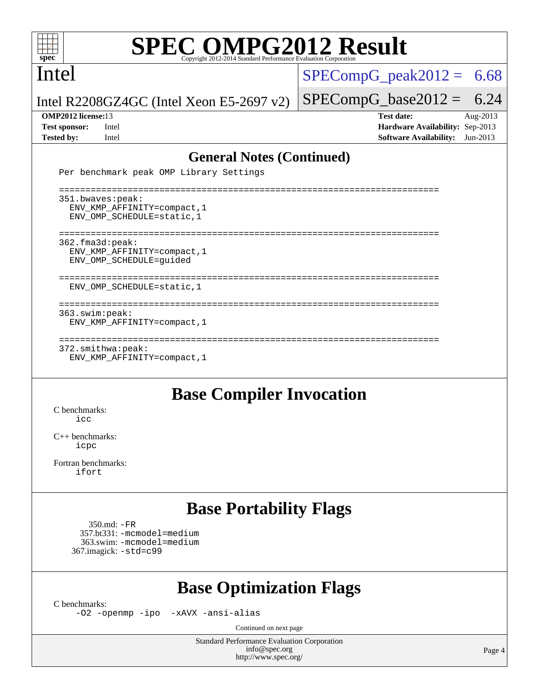

# **[SPEC OMPG2012 Result](http://www.spec.org/auto/omp2012/Docs/result-fields.html#SPECOMPG2012Result)**

Intel

 $SPECompG_peak2012 = 6.68$  $SPECompG_peak2012 = 6.68$ 

Intel R2208GZ4GC (Intel Xeon E5-2697 v2)

#### **[OMP2012 license:](http://www.spec.org/auto/omp2012/Docs/result-fields.html#OMP2012license)**13 **[Test date:](http://www.spec.org/auto/omp2012/Docs/result-fields.html#Testdate)** Aug-2013

 $SPECompG_base2012 = 6.24$  $SPECompG_base2012 = 6.24$ 

**[Test sponsor:](http://www.spec.org/auto/omp2012/Docs/result-fields.html#Testsponsor)** Intel **[Hardware Availability:](http://www.spec.org/auto/omp2012/Docs/result-fields.html#HardwareAvailability)** Sep-2013 **[Tested by:](http://www.spec.org/auto/omp2012/Docs/result-fields.html#Testedby)** Intel **[Software Availability:](http://www.spec.org/auto/omp2012/Docs/result-fields.html#SoftwareAvailability)** Jun-2013

#### **[General Notes \(Continued\)](http://www.spec.org/auto/omp2012/Docs/result-fields.html#GeneralNotes)**

Per benchmark peak OMP Library Settings

 ======================================================================== 351.bwaves:peak: ENV\_KMP\_AFFINITY=compact,1 ENV\_OMP\_SCHEDULE=static,1 ======================================================================== 362.fma3d:peak: ENV\_KMP\_AFFINITY=compact,1 ENV\_OMP\_SCHEDULE=guided ======================================================================== ENV\_OMP\_SCHEDULE=static,1 ======================================================================== 363.swim:peak: ENV\_KMP\_AFFINITY=compact,1 ======================================================================== 372.smithwa:peak: ENV\_KMP\_AFFINITY=compact,1

### **[Base Compiler Invocation](http://www.spec.org/auto/omp2012/Docs/result-fields.html#BaseCompilerInvocation)**

[C benchmarks](http://www.spec.org/auto/omp2012/Docs/result-fields.html#Cbenchmarks):  $i$ cc

[C++ benchmarks:](http://www.spec.org/auto/omp2012/Docs/result-fields.html#CXXbenchmarks) [icpc](http://www.spec.org/omp2012/results/res2013q3/omp2012-20130820-00030.flags.html#user_CXXbase_intel_icpc_2d899f8d163502b12eb4a60069f80c1c)

[Fortran benchmarks](http://www.spec.org/auto/omp2012/Docs/result-fields.html#Fortranbenchmarks): [ifort](http://www.spec.org/omp2012/results/res2013q3/omp2012-20130820-00030.flags.html#user_FCbase_intel_ifort_8a5e5e06b19a251bdeaf8fdab5d62f20)

### **[Base Portability Flags](http://www.spec.org/auto/omp2012/Docs/result-fields.html#BasePortabilityFlags)**

 350.md: [-FR](http://www.spec.org/omp2012/results/res2013q3/omp2012-20130820-00030.flags.html#user_baseFPORTABILITY350_md_f-FR) 357.bt331: [-mcmodel=medium](http://www.spec.org/omp2012/results/res2013q3/omp2012-20130820-00030.flags.html#user_basePORTABILITY357_bt331_f-mcmodel_3a41622424bdd074c4f0f2d2f224c7e5) 363.swim: [-mcmodel=medium](http://www.spec.org/omp2012/results/res2013q3/omp2012-20130820-00030.flags.html#user_basePORTABILITY363_swim_f-mcmodel_3a41622424bdd074c4f0f2d2f224c7e5) 367.imagick: [-std=c99](http://www.spec.org/omp2012/results/res2013q3/omp2012-20130820-00030.flags.html#user_baseCPORTABILITY367_imagick_f-std_2ec6533b6e06f1c4a6c9b78d9e9cde24)

### **[Base Optimization Flags](http://www.spec.org/auto/omp2012/Docs/result-fields.html#BaseOptimizationFlags)**

[C benchmarks](http://www.spec.org/auto/omp2012/Docs/result-fields.html#Cbenchmarks):

[-O2](http://www.spec.org/omp2012/results/res2013q3/omp2012-20130820-00030.flags.html#user_CCbase_f-O2) [-openmp](http://www.spec.org/omp2012/results/res2013q3/omp2012-20130820-00030.flags.html#user_CCbase_f-openmp) [-ipo](http://www.spec.org/omp2012/results/res2013q3/omp2012-20130820-00030.flags.html#user_CCbase_f-ipo_84062ab53814f613187d02344b8f49a7) [-xAVX](http://www.spec.org/omp2012/results/res2013q3/omp2012-20130820-00030.flags.html#user_CCbase_f-xAVX) [-ansi-alias](http://www.spec.org/omp2012/results/res2013q3/omp2012-20130820-00030.flags.html#user_CCbase_f-ansi-alias)

Continued on next page

Standard Performance Evaluation Corporation [info@spec.org](mailto:info@spec.org) <http://www.spec.org/>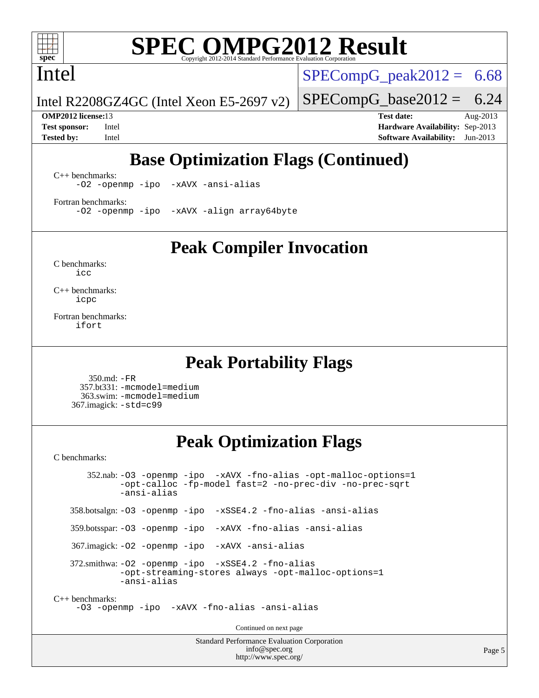

# **[SPEC OMPG2012 Result](http://www.spec.org/auto/omp2012/Docs/result-fields.html#SPECOMPG2012Result)**

Intel

 $SPECompG<sub>peak2012</sub> = 6.68$ 

 $SPECompG_base2012 = 6.24$  $SPECompG_base2012 = 6.24$ 

Intel R2208GZ4GC (Intel Xeon E5-2697 v2)

**[OMP2012 license:](http://www.spec.org/auto/omp2012/Docs/result-fields.html#OMP2012license)**13 **[Test date:](http://www.spec.org/auto/omp2012/Docs/result-fields.html#Testdate)** Aug-2013 **[Test sponsor:](http://www.spec.org/auto/omp2012/Docs/result-fields.html#Testsponsor)** Intel **[Hardware Availability:](http://www.spec.org/auto/omp2012/Docs/result-fields.html#HardwareAvailability)** Sep-2013 **[Tested by:](http://www.spec.org/auto/omp2012/Docs/result-fields.html#Testedby)** Intel **[Software Availability:](http://www.spec.org/auto/omp2012/Docs/result-fields.html#SoftwareAvailability)** Jun-2013

## **[Base Optimization Flags \(Continued\)](http://www.spec.org/auto/omp2012/Docs/result-fields.html#BaseOptimizationFlags)**

[C++ benchmarks:](http://www.spec.org/auto/omp2012/Docs/result-fields.html#CXXbenchmarks) [-O2](http://www.spec.org/omp2012/results/res2013q3/omp2012-20130820-00030.flags.html#user_CXXbase_f-O2) [-openmp](http://www.spec.org/omp2012/results/res2013q3/omp2012-20130820-00030.flags.html#user_CXXbase_f-openmp) [-ipo](http://www.spec.org/omp2012/results/res2013q3/omp2012-20130820-00030.flags.html#user_CXXbase_f-ipo_84062ab53814f613187d02344b8f49a7) [-xAVX](http://www.spec.org/omp2012/results/res2013q3/omp2012-20130820-00030.flags.html#user_CXXbase_f-xAVX) [-ansi-alias](http://www.spec.org/omp2012/results/res2013q3/omp2012-20130820-00030.flags.html#user_CXXbase_f-ansi-alias)

[Fortran benchmarks](http://www.spec.org/auto/omp2012/Docs/result-fields.html#Fortranbenchmarks): [-O2](http://www.spec.org/omp2012/results/res2013q3/omp2012-20130820-00030.flags.html#user_FCbase_f-O2) [-openmp](http://www.spec.org/omp2012/results/res2013q3/omp2012-20130820-00030.flags.html#user_FCbase_f-openmp) [-ipo](http://www.spec.org/omp2012/results/res2013q3/omp2012-20130820-00030.flags.html#user_FCbase_f-ipo_84062ab53814f613187d02344b8f49a7) [-xAVX](http://www.spec.org/omp2012/results/res2013q3/omp2012-20130820-00030.flags.html#user_FCbase_f-xAVX) [-align array64byte](http://www.spec.org/omp2012/results/res2013q3/omp2012-20130820-00030.flags.html#user_FCbase_f-align_c9377f996e966d652baaf753401d4725)

**[Peak Compiler Invocation](http://www.spec.org/auto/omp2012/Docs/result-fields.html#PeakCompilerInvocation)**

[C benchmarks](http://www.spec.org/auto/omp2012/Docs/result-fields.html#Cbenchmarks): [icc](http://www.spec.org/omp2012/results/res2013q3/omp2012-20130820-00030.flags.html#user_CCpeak_intel_icc_a87c68a857bc5ec5362391a49d3a37a6)

[C++ benchmarks:](http://www.spec.org/auto/omp2012/Docs/result-fields.html#CXXbenchmarks) [icpc](http://www.spec.org/omp2012/results/res2013q3/omp2012-20130820-00030.flags.html#user_CXXpeak_intel_icpc_2d899f8d163502b12eb4a60069f80c1c)

[Fortran benchmarks](http://www.spec.org/auto/omp2012/Docs/result-fields.html#Fortranbenchmarks): [ifort](http://www.spec.org/omp2012/results/res2013q3/omp2012-20130820-00030.flags.html#user_FCpeak_intel_ifort_8a5e5e06b19a251bdeaf8fdab5d62f20)

### **[Peak Portability Flags](http://www.spec.org/auto/omp2012/Docs/result-fields.html#PeakPortabilityFlags)**

 350.md: [-FR](http://www.spec.org/omp2012/results/res2013q3/omp2012-20130820-00030.flags.html#user_peakFPORTABILITY350_md_f-FR) 357.bt331: [-mcmodel=medium](http://www.spec.org/omp2012/results/res2013q3/omp2012-20130820-00030.flags.html#user_peakPORTABILITY357_bt331_f-mcmodel_3a41622424bdd074c4f0f2d2f224c7e5) 363.swim: [-mcmodel=medium](http://www.spec.org/omp2012/results/res2013q3/omp2012-20130820-00030.flags.html#user_peakPORTABILITY363_swim_f-mcmodel_3a41622424bdd074c4f0f2d2f224c7e5) 367.imagick: [-std=c99](http://www.spec.org/omp2012/results/res2013q3/omp2012-20130820-00030.flags.html#user_peakCPORTABILITY367_imagick_f-std_2ec6533b6e06f1c4a6c9b78d9e9cde24)

## **[Peak Optimization Flags](http://www.spec.org/auto/omp2012/Docs/result-fields.html#PeakOptimizationFlags)**

[C benchmarks](http://www.spec.org/auto/omp2012/Docs/result-fields.html#Cbenchmarks):

 352.nab: [-O3](http://www.spec.org/omp2012/results/res2013q3/omp2012-20130820-00030.flags.html#user_peakOPTIMIZE352_nab_f-O3) [-openmp](http://www.spec.org/omp2012/results/res2013q3/omp2012-20130820-00030.flags.html#user_peakOPTIMIZE352_nab_f-openmp) [-ipo](http://www.spec.org/omp2012/results/res2013q3/omp2012-20130820-00030.flags.html#user_peakOPTIMIZE352_nab_f-ipo_84062ab53814f613187d02344b8f49a7) [-xAVX](http://www.spec.org/omp2012/results/res2013q3/omp2012-20130820-00030.flags.html#user_peakOPTIMIZE352_nab_f-xAVX) [-fno-alias](http://www.spec.org/omp2012/results/res2013q3/omp2012-20130820-00030.flags.html#user_peakOPTIMIZE352_nab_f-no-alias_694e77f6c5a51e658e82ccff53a9e63a) [-opt-malloc-options=1](http://www.spec.org/omp2012/results/res2013q3/omp2012-20130820-00030.flags.html#user_peakOPTIMIZE352_nab_f-opt-malloc-options_d882ffc6ff87e51efe45f9a5190004b0) [-opt-calloc](http://www.spec.org/omp2012/results/res2013q3/omp2012-20130820-00030.flags.html#user_peakOPTIMIZE352_nab_f-opt-calloc) [-fp-model fast=2](http://www.spec.org/omp2012/results/res2013q3/omp2012-20130820-00030.flags.html#user_peakOPTIMIZE352_nab_f-fp-model_a7fb8ccb7275e23f0079632c153cfcab) [-no-prec-div](http://www.spec.org/omp2012/results/res2013q3/omp2012-20130820-00030.flags.html#user_peakOPTIMIZE352_nab_f-no-prec-div) [-no-prec-sqrt](http://www.spec.org/omp2012/results/res2013q3/omp2012-20130820-00030.flags.html#user_peakOPTIMIZE352_nab_f-no-prec-sqrt) [-ansi-alias](http://www.spec.org/omp2012/results/res2013q3/omp2012-20130820-00030.flags.html#user_peakCOPTIMIZE352_nab_f-ansi-alias) 358.botsalgn: [-O3](http://www.spec.org/omp2012/results/res2013q3/omp2012-20130820-00030.flags.html#user_peakOPTIMIZE358_botsalgn_f-O3) [-openmp](http://www.spec.org/omp2012/results/res2013q3/omp2012-20130820-00030.flags.html#user_peakOPTIMIZE358_botsalgn_f-openmp) [-ipo](http://www.spec.org/omp2012/results/res2013q3/omp2012-20130820-00030.flags.html#user_peakOPTIMIZE358_botsalgn_f-ipo_84062ab53814f613187d02344b8f49a7) [-xSSE4.2](http://www.spec.org/omp2012/results/res2013q3/omp2012-20130820-00030.flags.html#user_peakOPTIMIZE358_botsalgn_f-xSSE42_f91528193cf0b216347adb8b939d4107) [-fno-alias](http://www.spec.org/omp2012/results/res2013q3/omp2012-20130820-00030.flags.html#user_peakOPTIMIZE358_botsalgn_f-no-alias_694e77f6c5a51e658e82ccff53a9e63a) [-ansi-alias](http://www.spec.org/omp2012/results/res2013q3/omp2012-20130820-00030.flags.html#user_peakCOPTIMIZE358_botsalgn_f-ansi-alias) 359.botsspar: [-O3](http://www.spec.org/omp2012/results/res2013q3/omp2012-20130820-00030.flags.html#user_peakOPTIMIZE359_botsspar_f-O3) [-openmp](http://www.spec.org/omp2012/results/res2013q3/omp2012-20130820-00030.flags.html#user_peakOPTIMIZE359_botsspar_f-openmp) [-ipo](http://www.spec.org/omp2012/results/res2013q3/omp2012-20130820-00030.flags.html#user_peakOPTIMIZE359_botsspar_f-ipo_84062ab53814f613187d02344b8f49a7) [-xAVX](http://www.spec.org/omp2012/results/res2013q3/omp2012-20130820-00030.flags.html#user_peakOPTIMIZE359_botsspar_f-xAVX) [-fno-alias](http://www.spec.org/omp2012/results/res2013q3/omp2012-20130820-00030.flags.html#user_peakOPTIMIZE359_botsspar_f-no-alias_694e77f6c5a51e658e82ccff53a9e63a) [-ansi-alias](http://www.spec.org/omp2012/results/res2013q3/omp2012-20130820-00030.flags.html#user_peakCOPTIMIZE359_botsspar_f-ansi-alias) 367.imagick: [-O2](http://www.spec.org/omp2012/results/res2013q3/omp2012-20130820-00030.flags.html#user_peakOPTIMIZE367_imagick_f-O2) [-openmp](http://www.spec.org/omp2012/results/res2013q3/omp2012-20130820-00030.flags.html#user_peakOPTIMIZE367_imagick_f-openmp) [-ipo](http://www.spec.org/omp2012/results/res2013q3/omp2012-20130820-00030.flags.html#user_peakOPTIMIZE367_imagick_f-ipo_84062ab53814f613187d02344b8f49a7) [-xAVX](http://www.spec.org/omp2012/results/res2013q3/omp2012-20130820-00030.flags.html#user_peakOPTIMIZE367_imagick_f-xAVX) [-ansi-alias](http://www.spec.org/omp2012/results/res2013q3/omp2012-20130820-00030.flags.html#user_peakCOPTIMIZE367_imagick_f-ansi-alias) 372.smithwa: [-O2](http://www.spec.org/omp2012/results/res2013q3/omp2012-20130820-00030.flags.html#user_peakOPTIMIZE372_smithwa_f-O2) [-openmp](http://www.spec.org/omp2012/results/res2013q3/omp2012-20130820-00030.flags.html#user_peakOPTIMIZE372_smithwa_f-openmp) [-ipo](http://www.spec.org/omp2012/results/res2013q3/omp2012-20130820-00030.flags.html#user_peakOPTIMIZE372_smithwa_f-ipo_84062ab53814f613187d02344b8f49a7) [-xSSE4.2](http://www.spec.org/omp2012/results/res2013q3/omp2012-20130820-00030.flags.html#user_peakOPTIMIZE372_smithwa_f-xSSE42_f91528193cf0b216347adb8b939d4107) [-fno-alias](http://www.spec.org/omp2012/results/res2013q3/omp2012-20130820-00030.flags.html#user_peakOPTIMIZE372_smithwa_f-no-alias_694e77f6c5a51e658e82ccff53a9e63a) [-opt-streaming-stores always](http://www.spec.org/omp2012/results/res2013q3/omp2012-20130820-00030.flags.html#user_peakOPTIMIZE372_smithwa_f-opt-streaming-stores-always_66f55dbc532842151ebc4c82f4f5b019) [-opt-malloc-options=1](http://www.spec.org/omp2012/results/res2013q3/omp2012-20130820-00030.flags.html#user_peakOPTIMIZE372_smithwa_f-opt-malloc-options_d882ffc6ff87e51efe45f9a5190004b0) [-ansi-alias](http://www.spec.org/omp2012/results/res2013q3/omp2012-20130820-00030.flags.html#user_peakCOPTIMIZE372_smithwa_f-ansi-alias) [C++ benchmarks:](http://www.spec.org/auto/omp2012/Docs/result-fields.html#CXXbenchmarks) [-O3](http://www.spec.org/omp2012/results/res2013q3/omp2012-20130820-00030.flags.html#user_CXXpeak_f-O3) [-openmp](http://www.spec.org/omp2012/results/res2013q3/omp2012-20130820-00030.flags.html#user_CXXpeak_f-openmp) [-ipo](http://www.spec.org/omp2012/results/res2013q3/omp2012-20130820-00030.flags.html#user_CXXpeak_f-ipo_84062ab53814f613187d02344b8f49a7) [-xAVX](http://www.spec.org/omp2012/results/res2013q3/omp2012-20130820-00030.flags.html#user_CXXpeak_f-xAVX) [-fno-alias](http://www.spec.org/omp2012/results/res2013q3/omp2012-20130820-00030.flags.html#user_CXXpeak_f-no-alias_694e77f6c5a51e658e82ccff53a9e63a) [-ansi-alias](http://www.spec.org/omp2012/results/res2013q3/omp2012-20130820-00030.flags.html#user_CXXpeak_f-ansi-alias) Continued on next page

> Standard Performance Evaluation Corporation [info@spec.org](mailto:info@spec.org) <http://www.spec.org/>

Page 5